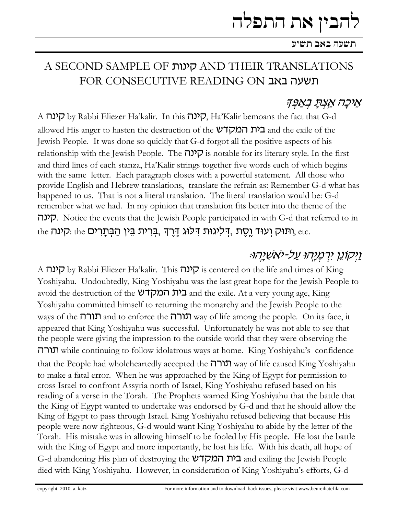# ובין את התפלה

## A SECOND SAMPLE OF קינות AND THEIR TRANSLATIONS FOR CONSECUTIVE READING ON תשעה באב

## אֵיכַה אַצְתַּ בְאַפָּק*י*

A קינה by Rabbi Eliezer Ha'kalir. In this קינה, Ha'Kalir bemoans the fact that G-d allowed His anger to hasten the destruction of the **בית המקדש** and the exile of the Jewish People. It was done so quickly that G-d forgot all the positive aspects of his relationship with the Jewish People. The  $\overline{C}$ רנה is notable for its literary style. In the first and third lines of each stanza, Ha'Kalir strings together five words each of which begins with the same letter. Each paragraph closes with a powerful statement. All those who provide English and Hebrew translations, translate the refrain as: Remember G-d what has happened to us. That is not a literal translation. The literal translation would be: G-d remember what we had. In my opinion that translation fits better into the theme of the קינה. Notice the events that the Jewish People participated in with G-d that referred to in the ותוּק וְעוּד וֶסֶת ,ךְלִגוּת דִּלוּג דֶרֶךְ ,בְּרִית בֵּין הַבְּתָרִים, the :קינה ;

# נַיִּקוֹנֵן יִרְמְיָהוּ עַל-יֹאשְׁיָהוּ.

A קינה by Rabbi Eliezer Ha'kalir. This קינה is centered on the life and times of King Yoshiyahu. Undoubtedly, King Yoshiyahu was the last great hope for the Jewish People to avoid the destruction of the **בית המקדש** and the exile. At a very young age, King Yoshiyahu committed himself to returning the monarchy and the Jewish People to the ways of the **תורה** and to enforce the **עורה** way of life among the people. On its face, it appeared that King Yoshiyahu was successful. Unfortunately he was not able to see that the people were giving the impression to the outside world that they were observing the תורה while continuing to follow idolatrous ways at home. King Yoshiyahu's confidence that the People had wholeheartedly accepted the **עורה** way of life caused King Yoshiyahu to make a fatal error. When he was approached by the King of Egypt for permission to cross Israel to confront Assyria north of Israel, King Yoshiyahu refused based on his reading of a verse in the Torah. The Prophets warned King Yoshiyahu that the battle that the King of Egypt wanted to undertake was endorsed by G-d and that he should allow the King of Egypt to pass through Israel. King Yoshiyahu refused believing that because His people were now righteous, G-d would want King Yoshiyahu to abide by the letter of the Torah. His mistake was in allowing himself to be fooled by His people. He lost the battle with the King of Egypt and more importantly, he lost his life. With his death, all hope of G-d abandoning His plan of destroying the **בית המקדש** and exiling the Jewish People died with King Yoshiyahu. However, in consideration of King Yoshiyahu's efforts, G-d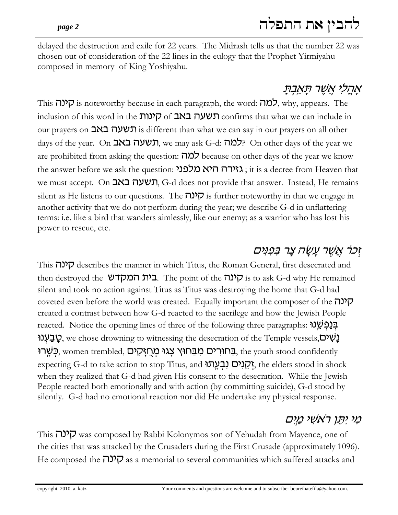delayed the destruction and exile for 22 years. The Midrash tells us that the number 22 was chosen out of consideration of the 22 lines in the eulogy that the Prophet Yirmiyahu composed in memory of King Yoshiyahu.

# אָהֲלִי אֲשֶׁר תָּא<u>ַבְ</u>תָ

This קינה is noteworthy because in each paragraph, the word: למה $\zeta$  why, appears. The inclusion of this word in the הינות of **באב** confirms that what we can include in our prayers on **CHUCK** is different than what we can say in our prayers on all other days of the year. On רגשעה באב, we may ask G-d: למה? On other days of the year we are prohibited from asking the question: למה because on other days of the year we know the answer before we ask the question: גאירה היא מלפני, it is a decree from Heaven that we must accept. On תשעה באב, G-d does not provide that answer. Instead, He remains silent as He listens to our questions. The קינה j is further noteworthy in that we engage in another activity that we do not perform during the year; we describe G-d in unflattering terms: i.e. like a bird that wanders aimlessly, like our enemy; as a warrior who has lost his power to rescue, etc.

# ֿוְכֹר אֲשֶׁר עֲשָׂה צָר בְּפָנִים

This קינה describes the manner in which Titus, the Roman General, first desecrated and then destroyed the הינה The point of the G-d why He remained .**E** silent and took no action against Titus as Titus was destroying the home that G-d had coveted even before the world was created. Equally important the composer of the  $\nabla$ created a contrast between how G-d reacted to the sacrilege and how the Jewish People **reacted.** Notice the opening lines of three of the following three paragraphs: בְּנַסְשֶׁנוּ יַבַעְנוּ g, we chose drowning to witnessing the desecration of the Temple vessels, ָּבַּחוּרְים מִבַּחוּץ צַגוּ מְחַזֵּקִים, women trembled, בַּחוּרְים מִבַּחוּץ צַגוּ  $\pm$ expecting G-d to take action to stop Titus, and הקנים נבעתו?, the elders stood in shock when they realized that G-d had given His consent to the desecration. While the Jewish People reacted both emotionally and with action (by committing suicide), G-d stood by silently. G-d had no emotional reaction nor did He undertake any physical response.

# מִי יִתְּן רֹאשִׁי מַיִם

This קינה was composed by Rabbi Kolonymos son of Yehudah from Mayence, one of the cities that was attacked by the Crusaders during the First Crusade (approximately 1096). He composed the  $\nabla$ ? as a memorial to several communities which suffered attacks and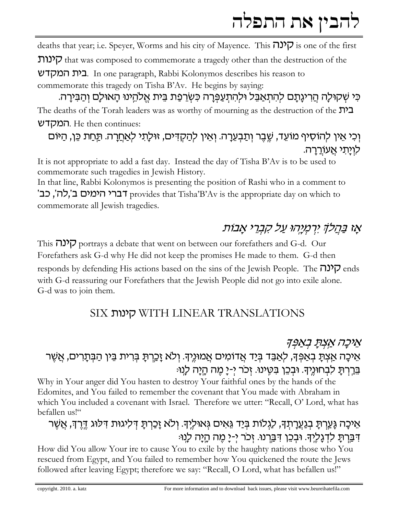deaths that year; i.e. Speyer, Worms and his city of Mayence. This קונה is one of the first

 $\nabla$ U that was composed to commemorate a tragedy other than the destruction of the

בית המקדש. In one paragraph, Rabbi Kolonymos describes his reason to commemorate this tragedy on Tisha B'Av. He begins by saying:

כִּי שְׁקוּלַה הַרִיגַתַם לְהִתְאַבֵּל וּלְהִתְעַפְּרָה כְּשֻרְפַת בֵּית אֱלֹהֵינוּ הָאוּלַם וְהַבִּירַה. The deaths of the Torah leaders was as worthy of mourning as the destruction of the  $\mathbf{D}^2$ המקדש. He then continues:

## וְכִי אֵין לְהוֹסִיף מוֹעֵד, שֵׁבֵר וְתַבְעֵרָה. וְאֵין לְהַקְדִּים, זוּלָתִי לִאַחֲרָה. תַּחַת כֵּן, הַיּוֹם לויתי אעוררה.

It is not appropriate to add a fast day. Instead the day of Tisha B'Av is to be used to commemorate such tragedies in Jewish History.

In that line, Rabbi Kolonymos is presenting the position of Rashi who in a comment to 'ברי הימים ב',לה', כב<sup>י</sup> provides that Tisha'B'Av is the appropriate day on which to commemorate all Jewish tragedies.

# אַז בַּ<u>הַלֹּדְּ</u> יִרְמְיַהוּ עַל קִבְרֵי אֲבוֹת

This קינה portrays a debate that went on between our forefathers and G-d. Our Forefathers ask G-d why He did not keep the promises He made to them. G-d then responds by defending His actions based on the sins of the Jewish People. The  $\overline{D}$  ends with G-d reassuring our Forefathers that the Jewish People did not go into exile alone. G-d was to join them.

# SIX קינות WITH LINEAR TRANSLATIONS

# אֵיכָה אַצתַ באַפּק<sub>י</sub> אֵיכָה אַצְתָּ בְאַפְּךָ, לְאַבֵּד בְּיַד אֲדוֹמִים אֲמוּנֶיךָ. וְלֹא זָכֵרְתָּ בְּרִית בֵּין הַבְּתָרִים, אֵשֵׁר בֵּרֵרְתַּ לִבְחוּנֶיִךָּ. וּבְכֵן בִּטֶינוּ. זְכֹר יְ-יָ מֶה הָיָה לְנוּ:

Why in Your anger did You hasten to destroy Your faithful ones by the hands of the Edomites, and You failed to remember the covenant that You made with Abraham in which You included a covenant with Israel. Therefore we utter: "Recall, O' Lord, what has befallen us!"

# אֵיכָה גָּעֲרִתָּ בִגַעֲרָתִךָּ, לַגְלוֹת בִּיַד גֵּאִים גִּאוּלֵיךָ. וְלֹא זָכַרִתָּ דְּלִיגוּת דְּלוֹג דֶרֶךְ, אֲשֶׁר דִּבַּרְתַּ לִדְגַלְיַךָּ. וּבְכֵן דְּבַרְנוּ. זְכֹר י-יַ מֶה הַיַּה לָנוּ:

How did You allow Your ire to cause You to exile by the haughty nations those who You rescued from Egypt, and You failed to remember how You quickened the route the Jews followed after leaving Egypt; therefore we say: "Recall, O Lord, what has befallen us!"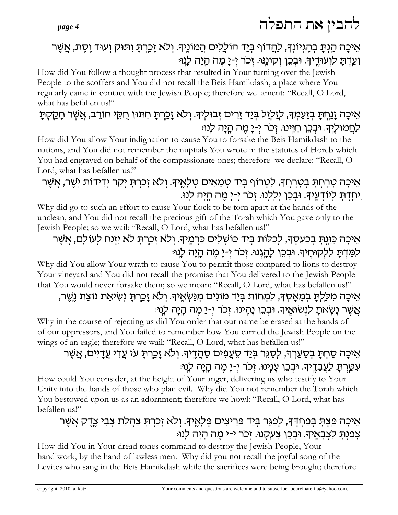## אֵיכָה הַגִּתָּ בִהֵגִיוֹנְךָ, <u>לה</u>דוֹף בִּיַד הוֹלֵלִים הַמוֹנֵיךָ. וְלֹא זָכְרְתָ וִתּוּק וְעוּד וֵסֵת, אֲשֶׁר וְעֲדָתַ לוְעוּדֵיךָ. וּבְכֵן וְקוֹנֵנּוּ. זְכֹר י-יַ מֵה הַיַּה לָנוּ:

How did You follow a thought process that resulted in Your turning over the Jewish People to the scoffers and You did not recall the Beis Hamikdash, a place where You regularly came in contact with the Jewish People; therefore we lament: "Recall, O Lord, what has befallen us!"

## אֵיכַה זַנַחִתַּ בִזַעֲמִךָּ, לַזַלְזֵל בִּיַד זָרִים זְבוּלֵיךָּ. וְלֹא זָכֵרתָ חִתּוּן חֻקֵי חוֹרֵב, אֲשֶׁר חָקֵקְתָּ <u>לח</u>מוּליד. וּבְכֵן חוֵינוּ. זְכֹר י-יַ מֶה הַיַה לַנוּ:

How did You allow Your indignation to cause You to forsake the Beis Hamikdash to the nations, and You did not remember the nuptials You wrote in the statutes of Horeb which You had engraved on behalf of the compassionate ones; therefore we declare: "Recall, O Lord, what has befallen us!"

## אֵיכָה טָרְחְתָּ בְטָרְחֲךָ, לִטְרוֹף בְּיַד טְמֵאִים טְלָאֶיךָ. וְלֹא זָכַרְתָּ יְקַר יְדִידוֹת יְשֶׁר, אֲשֶׁר ִיחַדְתָּ לִיוֹדְעֵיךָ. וּבִכֵן יַלָלְנוּ. זְכֹר י-יָ מֵה הָיָה לָנוּ.

Why did go to such an effort to cause Your flock to be torn apart at the hands of the unclean, and You did not recall the precious gift of the Torah which You gave only to the Jewish People; so we wail: "Recall, O Lord, what has befallen us!"

## אֵיכָה כִּוַּנְתָּ בִכַעַסְךָ, לִכַלוֹת בִּיַד כּוֹשָׁלִים כַּרְמֵיךָ. וְלֹא זָכְרְתָּ לֹא יִזְנַח לְעוֹלָם, אֲשֶׁר למַדִּתַּ ללקוּחֵיךָ. וּבִכֵן לָהֲגִנוּ. זִכֹר י-יָ מֵה הָיָה לָנְוּ:

Why did You allow Your wrath to cause You to permit those compared to lions to destroy Your vineyard and You did not recall the promise that You delivered to the Jewish People that You would never forsake them; so we moan: "Recall, O Lord, what has befallen us!"

## אֵיכַה מִלַּלִתַּ בְמַאֲסָךָ, לִמְחוֹת בְּיַד מוֹנִים מִנַּשְׂאֵיךָ. וְלֹא זַכֲרְתַּ נִשְׂיאַת נוֹצַת נֵשֶׁר, אֲשֶׁר נָשֶׂאתָ לִנְשׂוּאֱיִךָּ. וּבְכֵן נָהְינוּ. זְכֹר יְ-יָ מֶה הָיָה לָנְוּּ

Why in the course of rejecting us did You order that our name be erased at the hands of of our oppressors, and You failed to remember how You carried the Jewish People on the wings of an eagle; therefore we wail: "Recall, O Lord, what has befallen us!"

# אֵיכַה סַחִתַּ בְסַעֲרִךְ, לִסַגֶּר בְּיַד סֶעֲפִים סַהֲדֵיךָ. וְלֹא זַכֲרְתַּ עֹז עֲדִי עֵדַיִים, אֲשֶׁר עִטַּרְתָּ לַעֲבָדֶיךָ. וּבְכֵן עָנְינוּ. זְכֹר יִ-יָ מֶה הָיָה לָנוּ:

How could You consider, at the height of Your anger, delivering us who testify to Your Unity into the hands of those who plan evil. Why did You not remember the Torah which You bestowed upon us as an adornment; therefore we howl: "Recall, O Lord, what has befallen us!"

# אֵיכָה פֵּצִתָּ בִּפַחִדִּךְ, לִפַגֵּר בִּיַד פָּרִיצִים פִּלָאֵיךָ. וְלֹא זָכַרְתָּ צַהֲלַת צִבִי צֶדֵק אֲשֶׁר צְפֵנְתָּ לְצִבָאֵיךָ. וּבִכֵן צָעֲקְנוּ. זִכֹר י-י מֵה הָיָה לָנוּ:

How did You in Your dread tones command to destroy the Jewish People, Your handiwork, by the hand of lawless men. Why did you not recall the joyful song of the Levites who sang in the Beis Hamikdash while the sacrifices were being brought; therefore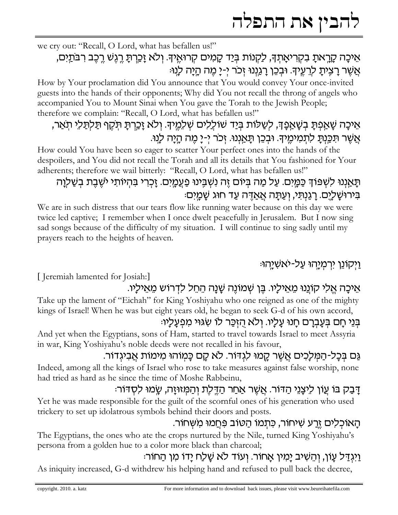we cry out: "Recall, O Lord, what has befallen us!"

## אֵיכַה קַרֵאתַ בְקְרִיאַתְךָ, לַקְנוֹת בְּיַד קַמְים קְרוּאֵיךְ. וְלֹא זַכֲרְתַּ רֵגְשׁ רֵכֶב רְבֹתֵיִם, אֲשֶׁר רַצֵיתַ לְרֵעֵיךָ. וּבְכֵן רַגְוָנוּ זָכֹר יִ-יַ מֶה הַיַּה לַנְוּ:

How by Your proclamation did You announce that You would convey Your once-invited guests into the hands of their opponents; Why did You not recall the throng of angels who accompanied You to Mount Sinai when You gave the Torah to the Jewish People; therefore we complain: "Recall, O Lord, what has befallen us!"

# אֵיכַה שַׁאֲפִתַּ בִשָּׁאֲפֵדְ, לְשֻלּוֹת בַּיַד שׁוֹלֵלִים שִׁלְמֵיךָ. וְלֹא זַכֵּרְתַּ תִּקֶף תַּלְתַּלֵי תֹאֵר, אֲשֶׁר תִּכְּנִתַּ לִתְמִימֵיךָ. וּבִכֵן תַּאֲנְנוּ. זְכֹר י-יָ מֵה הַיָּה לָנוּ.

How could You have been so eager to scatter Your perfect ones into the hands of the despoilers, and You did not recall the Torah and all its details that You fashioned for Your adherents; therefore we wail bitterly: "Recall, O Lord, what has befallen us!"

# תַּאֲנְנוּ לִשְׁפּוֹדְ כַּמֲיִם. עַל מַה בִּיוֹם זֶה נְשָׁבֵּינוּ פַעֲמֵיִם. זַכְרִי בִּהְיוֹתִי יֹשֶׁבֶת בְשַׁלְוַה ַּבִּירוּשָׁלַיֵם. רַגֲנִתִּי, וְעַתָּה אֲאַדֵּה עַד חוּג שֶׁמֲיִם

We are in such distress that our tears flow like running water because on this day we were twice led captive; I remember when I once dwelt peacefully in Jerusalem. But I now sing sad songs because of the difficulty of my situation. I will continue to sing sadly until my prayers reach to the heights of heaven.

<u>וַיְקוֹנֵן יִרְמְיַהוּ עֲל-יֹאשָׁיַהוּ</u>

[Jeremiah lamented for Josiah:]

## אֵיכָה אֱלִי קוֹנֵנוּ מֵאֵילַיו. בֵּן שִׁמוֹנֵה שָׁנַה הֵחֵל לִדְרוֹש מֵאֵילַיו.

Take up the lament of "Eichah" for King Yoshiyahu who one reigned as one of the mighty kings of Israel! When he was but eight years old, he began to seek G-d of his own accord,

## בִּנֵי חַם בִּעֲבִרֵם חֲנוּ עַלֵיו. וְלֹא הִזְכַּר לוֹ שָׂגּוּי מִפְעַלַיוּ:

And yet when the Egyptians, sons of Ham, started to travel towards Israel to meet Assyria in war, King Yoshiyahu's noble deeds were not recalled in his favour,

## גַם בִּכַל-הַמִּלַכִים אֲשֵׁר קֵמוּ לִגְדּוֹר. לֹא קָם כָּמְוֹהוּ מִימוֹת אֲבִיגְדוֹר.

Indeed, among all the kings of Israel who rose to take measures against false worship, none had tried as hard as he since the time of Moshe Rabbeinu,

# דַּבַק בּוֹ עֵוֹן לִיצָנֵי הַדּוֹר. אֲשֶׁר אַחַר הַדֶּלֶת וְהַמְּזוּזָה, שֶׂמוּ לִסְדּוֹר:

Yet he was made responsible for the guilt of the scornful ones of his generation who used trickery to set up idolatrous symbols behind their doors and posts.

### הַאוֹכְלִים זֵרַע שִׁיחוֹר, כִּתְמוֹ הַטּוֹב פְּחֲמוּ מִשְׁחוֹר.

The Egyptians, the ones who ate the crops nurtured by the Nile, turned King Yoshiyahu's persona from a golden hue to a color more black than charcoal;

## ַיַּגְדַל עַוֹן, וְהֵשִׁיב יַמְין אַחוֹר. וְעוֹד לֹא שַׁלַח יַדוֹ מִן הַחוֹר:

As iniquity increased, G-d withdrew his helping hand and refused to pull back the decree,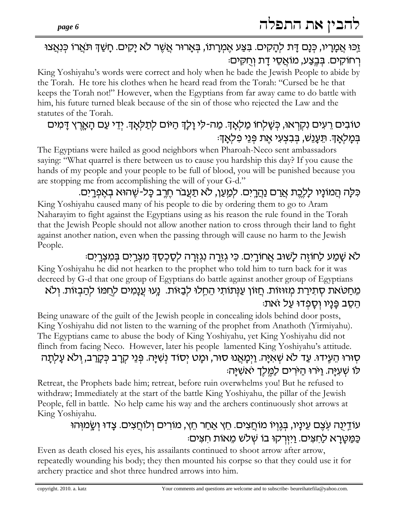#### זַכּוּ אַמָרִיו, כִּנָם דָּת לִהָקִים. בִּצַע אֵמְרָתוֹ, בִּאָרוּר אֲשֶׁר לֹא יָקִים. חָשַׁךְ תֹּאֲרוֹ כִּנְאֲצוּ ְרְחוֹקִים. בַּבֲצַע, מוֹאֲסֵי דַת וְחִקִים:

King Yoshiyahu's words were correct and holy when he bade the Jewish People to abide by the Torah. He tore his clothes when he heard read from the Torah: "Cursed be he that keeps the Torah not!" However, when the Egyptians from far away came to do battle with him, his future turned bleak because of the sin of those who rejected the Law and the statutes of the Torah.

## טובים רֵעִים נִקְרָאוּ, כִּשַׁלְחוֹ מַלְאֲדָּ. מַה-לִי וַלַדְּ הַיּוֹם לְתַלְאֲדָּ. יִדֵי עַם הָאֲרֶץ דַּמִים ַּבְמַלְאָךָ. תֵּעֲנֵשׁ, בִּבְצְעִי אֵת פְּנֵי פְלִאֲךְ:

The Egyptians were hailed as good neighbors when Pharoah-Neco sent ambassadors saying: "What quarrel is there between us to cause you hardship this day? If you cause the hands of my people and your people to be full of blood, you will be punished because you are stopping me from accomplishing the will of your G-d."

#### כִּלָּה הַמוֹנַיו לַלֶּבֶת <u>אַר</u>ם נַ<u>הְר</u>ָיִם. לִמַעַן, לֹא תַעֲבֹר חֵרֶב כָּל-שֶׁהוּא בְאֵפְרֶיִם. King Yoshiyahu caused many of his people to die by ordering them to go to Aram Naharayim to fight against the Egyptians using as his reason the rule found in the Torah that the Jewish People should not allow another nation to cross through their land to fight against another nation, even when the passing through will cause no harm to the Jewish People.

## לא שַׁמַע לַחוֹזָה לַשׁוּב אַחוֹרֵים. כִּי גְזֵרָה נְגָזֶרָה לְסֻכְּסֶךְ מִצְרֵים בִּמְצְרֵים:

King Yoshiyahu he did not hearken to the prophet who told him to turn back for it was decreed by G-d that one group of Egyptians do battle against another group of Egyptians

## מֵחַטֹּאת סִתִירַת מִזוּזוֹת. חַזוֹן עַנְתוֹתִי הֵחֵלוּ לְבַזּוֹת. נְעוּ עֲנָמִים לְחֻמּוֹ לְהַבְזוֹת. וְלֹא ּהֵסֵב פָּנָיו וְסַפְדוּ עַל זֹאת:

Being unaware of the guilt of the Jewish people in concealing idols behind door posts, King Yoshiyahu did not listen to the warning of the prophet from Anathoth (Yirmiyahu). The Egyptians came to abuse the body of King Yoshiyahu, yet King Yoshiyahu did not flinch from facing Neco. However, later his people lamented King Yoshiyahu's attitude.

## ּסְוּרוּ הֵעֶידוּ. עַד לֹא שָׁאַיָּה. וַיִּמָאֲנוּ סוּר, וּמָט יִסוֹד נִשְׁיָּה. פִּנֵי קִרָב כִּקֲרַב, ולֹא עָלִתָה לו שעיה. וירו הירים למלך יאשיה:

Retreat, the Prophets bade him; retreat, before ruin overwhelms you! But he refused to withdraw; Immediately at the start of the battle King Yoshiyahu, the pillar of the Jewish People, fell in battle. No help came his way and the archers continuously shot arrows at King Yoshiyahu.

# עוֹדֵינָה עָצֵם עֵינַיו, בְּגֵוְיוֹ מוֹחֲצִים. חֵץ אֲחַר חֵץ, מוֹרִים וְלוֹחֲצִים. צַדוּ וְשֵׂמוְּהוּ ַכַּמַטָרָא לַחִצִּים. וַיִּזְרְקוּ בוֹ שְׁלֹשׁ מֵאוֹת חִצִּים:

Even as death closed his eyes, his assailants continued to shoot arrow after arrow, repeatedly wounding his body; they then mounted his corpse so that they could use it for archery practice and shot three hundred arrows into him.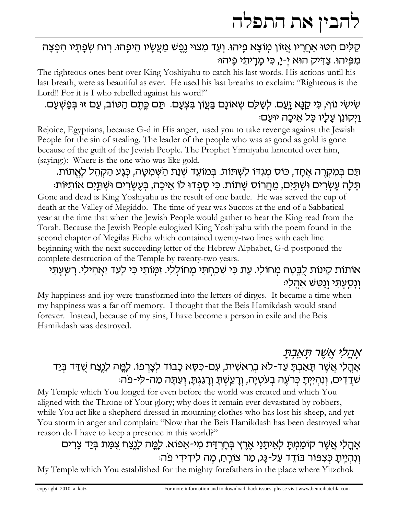### קַלִּים הִטּוּ אַחֲרָיו אֲזוֹן מְוֹצָא פִיהוּ. וְעַד מִצוּי נֶפֶשׁ מַעֲשָׂיו הֵיפָהוּ. רְוּח שְׂפָתָיו הִפְצָה מְפֵיחוּ. צַדִּיק הוּא יִ-יַ, כִּי מַרֵיתִי פֵיהוּ:

The righteous ones bent over King Yoshiyahu to catch his last words. His actions until his last breath, were as beautiful as ever. He used his last breaths to exclaim: "Righteous is the Lord!! For it is I who rebelled against his word!"

## ּשִׂישִׂי נוֹף, כִּי קַנָּא זֵעֲם. לְשַׁלֵּם שְאוֹנָם בַּעֲוֹן בִּצְעָם. תַּם כֶּתֶם הַטּוֹב, עַם זוּ בְּפָשְׁעָם. וַיִּקוֹנֵן עַלַיו כַּל אֵיכַה יוּעַם:

Rejoice, Egyptians, because G-d in His anger, used you to take revenge against the Jewish People for the sin of stealing. The leader of the people who was as good as gold is gone because of the guilt of the Jewish People. The Prophet Yirmiyahu lamented over him, (saying:): Where is the one who was like gold.

#### ּתַּם בִּמְקְרֵה אֵחָד, כּוֹס מִגְדּוֹ לִשְׁתּוֹת. בִּמוֹעֵד שָׁנַת הַשְּׁמִטָּה, כִּנַע הַקְהֵל לָאֵתוֹת. ּתַּלַה עֵשׂרִים וּשִׁתֵּיִם, מֵהֲרוֹס שַׁתוֹת. כִּי סַפְדוּ לוֹ אֵיכֲה, בִּעֲשׂרִים וּשָׁתֵּיִם אוֹתִיּוֹת:

Gone and dead is King Yoshiyahu as the result of one battle. He was served the cup of death at the Valley of Megiddo. The time of year was Succos at the end of a Sabbatical year at the time that when the Jewish People would gather to hear the King read from the Torah. Because the Jewish People eulogized King Yoshiyahu with the poem found in the second chapter of Megilas Eicha which contained twenty-two lines with each line beginning with the next succeeding letter of the Hebrew Alphabet, G-d postponed the complete destruction of the Temple by twenty-two years.

## אותות קינות לָבֶטָה מְחוֹלִי. עֵת כִּי שָׁכַחִתִּי מְחוֹלֵלִי. זַמְּוֹתִי כִּי לָעַד <u>יָא</u>הֶילִי. רָשַׂעְתַּי וַנַּסַעְתִּי וְנָטֵשׁ אַהַלִי:

My happiness and joy were transformed into the letters of dirges. It became a time when my happiness was a far off memory. I thought that the Beis Hamikdash would stand forever. Instead, because of my sins, I have become a person in exile and the Beis Hamikdash was destroyed.

## אַהַלִי אֲשֶׁר תַּאֲבָתַ אָהֶלִי אֲשֶׁר תָּאֲבְתָּ עַד-לֹא בְרֵאשִׁית, עִם-כִּסֵא כָבוֹד לִצָרְפוֹ. לַמֲה לַנֵּצַח שַׁדַּד בִּיַד ּשֹׁדֵדִים, וְנִהְיִיְתָ כְּרֹעֶה בְעֹטְיָה, וְרָעַשְׁתָּ וְרָגַגְתָּ, וְעַתָּה מַה-לִי-פֹה:

My Temple which You longed for even before the world was created and which You aligned with the Throne of Your glory; why does it remain ever devastated by robbers, while You act like a shepherd dressed in mourning clothes who has lost his sheep, and yet You storm in anger and complain: "Now that the Beis Hamikdash has been destroyed what reason do I have to keep a presence in this world?"

## אָהָלִי אֲשֶׁר קוֹמַמִתָּ לְאֵיתָנֵי אֶרֶץ בְּחֵרְדַּת מִי-אֵפוֹא. לָמֱה לָנֵצַח צָמַת בִּיַד צָרִים וְנְהָיֵיְתַ כִּצְפּוֹר בּוֹדֵד עַל-גֵּג, מַר צוֹרֵחָ, מֶה לִידְידִי פֹה:

My Temple which You established for the mighty forefathers in the place where Yitzchok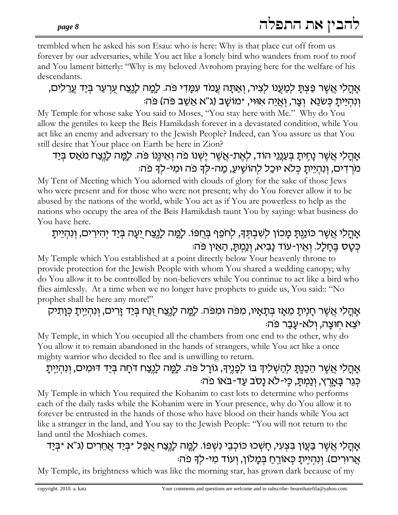trembled when he asked his son Esau: who is here: Why is that place cut off from us forever by our adversaries, while You act like a lonely bird who wanders from roof to roof and You lament bitterly: "Why is my beloved Avrohom praying here for the welfare of his descendants.

## אָהָלִי אֲשֶׁר פַּצִתָּ לִמַעֲנוֹ לִצִיר, וְאַתָּה עַמֹד עִמַּדִי פּה. לָמֶה לְנֵצַח עִרְעַר בִּיַד עַרֵלִים, וְנָהְיַיְתַ כְּשִׂנֶא וְצַר, וְאֵיה אוּוּי, ∗מוֹשַׁב (ג"א אֲשֶׁב פּה) פּה

My Temple for whose sake You said to Moses, "You stay here with Me." Why do You allow the gentiles to keep the Beis Hamikdash forever in a devastated condition, while You act like an enemy and adversary to the Jewish People? Indeed, can You assure us that You still desire that Your place on Earth be here in Zion?

## אָהֲלִי אֲשֶׁר נָחֶיתָ בְּעַנֵּנֵי הוֹד, לְאֶת-אֲשֶׁר יֶשְׁנוֹ פֹה וְאֵינֶּנוֹ פֹּה. לְמֵה לְנֵצַח מֹאַס בְּיַד מֹרְדִים, וְנְהְיֶיתַ כְּלֹא יוּכַל לְהוֹשֵׁיעַ, מֲה-לַדְ פֹה וּמִי-לִדְ פֹהּ:

My Tent of Meeting which You adorned with clouds of glory for the sake of those Jews who were present and for those who were not present; why do You forever allow it to be abused by the nations of the world, while You act as if You are powerless to help as the nations who occupy the area of the Beis Hamikdash taunt You by saying: what business do You have here.

## אָהֲלִי אֲשֶׁר כּוֹנֵנְתָּ מַכוֹן לִשְׁבִתְּךָ, לִחְפֵרְ בְּחָפּוֹ. לַמֲה לַנֵצַח יַעָה בְּיַד יִהִירִים, וְנִהְיֵיתָ כִּטַס בַּחַלָל. וְאֵין-עוֹד נַבִיא, וְנַמְתָּ, הַאֵין פֹּה

My Temple which You established at a point directly below Your heavenly throne to provide protection for the Jewish People with whom You shared a wedding canopy; why do You allow it to be controlled by non-believers while You continue to act like a bird who flies aimlessly. At a time when we no longer have prophets to guide us, You said:: "No prophet shall be here any more!"

## <u>אַהֲלִי אֲשֶׁר חַנֶּיתַ מֵאַז בְּתַאֵיו, מִפּּה וּמִפּּה. לַמֵּה לַנֵּצַח זָנַּח בְּיַד זַרִים, וְנִהְיֵיתַ כְּוַתִיק</u> יצא חוּצַה, ולא-עַבַר פּה:

My Temple, in which You occupied all the chambers from one end to the other, why do You allow it to remain abandoned in the hands of strangers, while You act like a once mighty warrior who decided to flee and is unwilling to return.

## אַהַלִי אֲשֶׁר הֵכָנֶתַּ לִהַשָּׁלִידְּ בּוֹ לִפְנֵיךָ, גוֹרַל פּה. לַמֵּה לַנֵּצַח דֹּחַה בְּיַד דּוּמִים, וְנִהְיֵתַ כּגר בּארץ, ונמתּ, כּי-לא נסב עד-בֹּאוֹ פֹה:

My Temple in which You required the Kohanim to cast lots to determine who performs each of the daily tasks while the Kohanim were in Your presence, why do You allow it to forever be entrusted in the hands of those who have blood on their hands while You act like a stranger in the land, and You say to the Jewish People: "You will not return to the land until the Moshiach comes.

## אַהַלי אַשֶׁר בַּעֵוֹן בִּצְעִי, חַשְׁכוּ כּוֹכְבֵי נִשְׁפּוֹ. לָמֱה לָנֶצַח אֲפֵּל \*בְּיַד אֲחֵרִים (ג"א \*בְּיַד אֲרוּרִים). וְנִהְיֶתָ כְּאוֹרֵחַ בְּמָלוֹן, וְעוֹד מִי-לְךָ פֹה:

My Temple, its brightness which was like the morning star, has grown dark because of my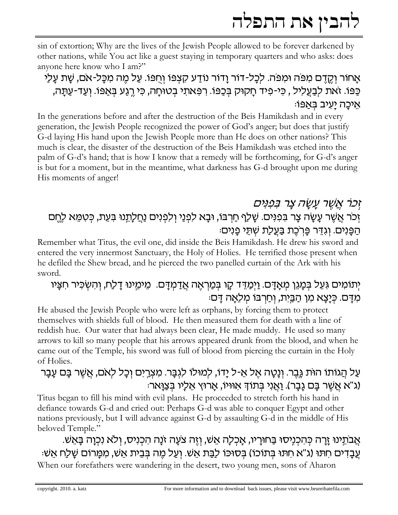sin of extortion; Why are the lives of the Jewish People allowed to be forever darkened by other nations, while You act like a guest staying in temporary quarters and who asks: does anyone here know who I am?"

אַחוֹר וְקֵדָם מִפּׂה וּמִפֹּה. לַכַל-דוֹר וַדוֹר נוֹדַע קַצְפּוֹ וְחִפּוֹ. עַל מֶה מִכַּל-אֹם, שֶׁת עַלַי ַכְּפּוֹ. זֹאת לְבַעֲלִיל , כִּי-פִיד חָקוּק בְּכַפּוֹ. רִפְּאתִי בְטוּחָה, כִּי רֶגַע בְּאַפּוֹ. וְעַד-עַתָּה, איכה יעיב באפו:

In the generations before and after the destruction of the Beis Hamikdash and in every generation, the Jewish People recognized the power of God's anger; but does that justify G-d laying His hand upon the Jewish People more than He does on other nations? This much is clear, the disaster of the destruction of the Beis Hamikdash was etched into the palm of G-d's hand; that is how I know that a remedy will be forthcoming, for G-d's anger is but for a moment, but in the meantime, what darkness has G-d brought upon me during His moments of anger!

## ַזְכֹר אֲשֶׁר עֲשָׂה צַר בְּפָנִּים זְכֹר אֲשֶׁר עָשָׂה צָר בִּפִנִּים. שָׁלַף חַרְבּוֹ, וּבָא לִפְנַי וְלִפְנִים נַחֲלָתֵנוּ בִּעֵת, כִּטְמֵא לְחֵם ּהַפְּנִים. וְגְדֵר פֵּרְכֶת בַּעֲלֶת שָׁתֵּי פַנִים:

Remember what Titus, the evil one, did inside the Beis Hamikdash. He drew his sword and entered the very innermost Sanctuary, the Holy of Holies. He terrified those present when he defiled the Shew bread, and he pierced the two panelled curtain of the Ark with his sword.

## יִתוֹמִים גִּעֵל בִּמָּגֵן מִאָדָם. וַיִּמַדֵּד קָו בְּמַרְאֶה אֲדַמְדָם. מֵימֵינוּ דָלַח, וְהִשְׁכִּיר חִצָּיו ַמְדַּם. כִּיַצַא מִן הַבֵּיִת, וְחַרְבּוֹ מִלֶאֲה דַּם:

He abused the Jewish People who were left as orphans, by forcing them to protect themselves with shields full of blood. He then measured them for death with a line of reddish hue. Our water that had always been clear, He made muddy. He used so many arrows to kill so many people that his arrows appeared drunk from the blood, and when he came out of the Temple, his sword was full of blood from piercing the curtain in the Holy of Holies.

## עַל הֲגוֹתוֹ הוֹת גֵּבֶר. וְנַטֲה אֵל אֵ-ל יַדוֹ, לִמוּלוֹ לִגְבַּר. מִצְרֵיִם וְכַל לִאם, אֲשֶׁר בַּם עַבַר (ג"א אשר בם גבר). ואני בתוך אוויו, ארוץ אליו בצואר:

Titus began to fill his mind with evil plans. He proceeded to stretch forth his hand in defiance towards G-d and cried out: Perhaps G-d was able to conquer Egypt and other nations previously, but I will advance against G-d by assaulting G-d in the middle of His beloved Temple."

אֲבֹתֵינוּ זָרָה כִּהְכִנִיּסוּ בַּחוּרַיו, אֲכִלַה אֵשׁ, וְזֵה צֹעָה זֹנָה הִכְנִיּס, וְלֹא נִכְוָה בָּאֵשׁ. ּעֲבַדִים חִתּוּ (ג"א חִתּוּ בְּתוֹכוֹ) בְּסוּכּוֹ לַבֲתַ אֲשׁ. וְעַל מֶה בְּבֵית אֲשׁ, מִמְרוֹם שַׁלַח אֲשׁי When our forefathers were wandering in the desert, two young men, sons of Aharon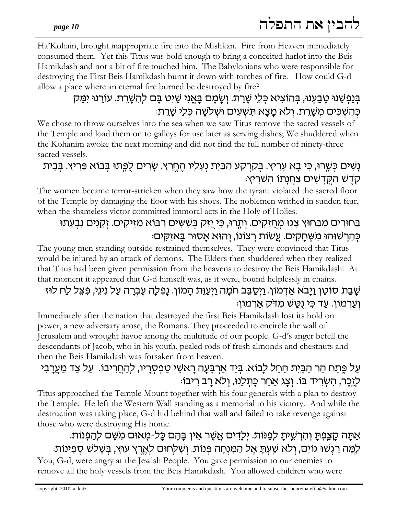Ha'Kohain, brought inappropriate fire into the Mishkan. Fire from Heaven immediately consumed them. Yet this Titus was bold enough to bring a conceited harlot into the Beis Hamikdash and not a bit of fire touched him. The Babylonians who were responsible for destroying the First Beis Hamikdash burnt it down with torches of fire. How could G-d allow a place where an eternal fire burned be destroyed by fire?

## בִּנַפְשֶׁנוּ טַבַעְנוּ, בִּהוֹצְיא כִּלֵי שַׁרֵת. וְשַׂמַם בַּאֲנִי שֵׁיִט בַּם לְהִשָּׁרֵת. עוֹרֵנוּ יִמַּק בּהשׁכּים משרת. ולא מצא תּשעים וּשׁלשה כּלי שרת:

We chose to throw ourselves into the sea when we saw Titus remove the sacred vessels of the Temple and load them on to galleys for use later as serving dishes; We shuddered when the Kohanim awoke the next morning and did not find the full number of ninety-three sacred vessels.

## נַשִׁים כִּשֵׁרוּ, כִּי בַא עַרִיץ. בִּקַרְקַע הַבֵּיִת נְעַלַיו הֶחֱרֶץ. שַׂרִים לִפֵּתוּ בִּבוֹא פַּרִיץ. בִּבֶית :קְדֶשׁ הַקֱדָשִׁים צַחֲנָתוֹ הִשִּׁרִיץ

The women became terror-stricken when they saw how the tyrant violated the sacred floor of the Temple by damaging the floor with his shoes. The noblemen writhed in sudden fear, when the shameless victor committed immoral acts in the Holy of Holies.

## בַּחוּרִים מִבַּחוּץ צָגוּ מְחֻזָּקִים. וְתָרוּ, כִּי יַזַּק בְּשִׁשִּים רִבּוֹא מַזִּיקִים. זְקֵנִים נִבְעֶתוּ כִּהְרִשׁוּהוּ מִשְׁחַקִים. עֲשׂוֹת רְצוֹנוֹ, וְהוּא אַסוּר בַּאזִקִים:

The young men standing outside restrained themselves. They were convinced that Titus would be injured by an attack of demons. The Elders then shuddered when they realized that Titus had been given permission from the heavens to destroy the Beis Hamikdash. At that moment it appeared that G-d himself was, as it were, bound helplessly in chains.

## עַבַת סוֹטֵן וַיַבֹא אַדְמוֹן. וַיִּסַבֵּב חֹמַה וַיִּעֲוֶּת הַמוֹן. נַפְלַה עֶבְרַה עַל נִינֵי, פִּצֵל לַח לוּז :וַעַרמוֹן. עַד כִּי נִטַּשׁ מִדק אַרמוֹן

Immediately after the nation that destroyed the first Beis Hamikdash lost its hold on power, a new adversary arose, the Romans. They proceeded to encircle the wall of Jerusalem and wrought havoc among the multitude of our people. G-d's anger befell the descendants of Jacob, who in his youth, pealed rods of fresh almonds and chestnuts and then the Beis Hamikdash was forsaken from heaven.

## עַל פֶּתַח הַר הַבֵּיִת הֵחֵל לָבוֹא. בְּיַד אַרְבָּעָה רָאשֵׁי טַפְסְרָיו, לְהַחֲרִיבוֹ. עַל צַד מַעֲרָבִי לזכר, השׂריד בּוֹ. וצג אחר כּתלנוּ, ולא רב ריבוֹ:

Titus approached the Temple Mount together with his four generals with a plan to destroy the Temple. He left the Western Wall standing as a memorial to his victory. And while the destruction was taking place, G-d hid behind that wall and failed to take revenge against those who were destroying His home.

## אַתַּה קַצֲפִתַּ וְהִרְשֵׁיתַ לִפְנּוֹת. יִלַדִים אֲשֶׁר אֵין בַּהֵם כַּל-מִאוּם מִשֶּׁם לְהַפִנוֹת. לְמֵה רַגְשׁוּ גוֹיִם, וְלֹא שַׁעְתָּ אֶל הַמִּנְחָה פְּנוֹת. וְשִׁלְחוּם לְאֶרֶץ עוּץ, בְּשָׁלֹשׁ סְפִינוֹת:

You, G-d, were angry at the Jewish People. You gave permission to our enemies to remove all the holy vessels from the Beis Hamikdash. You allowed children who were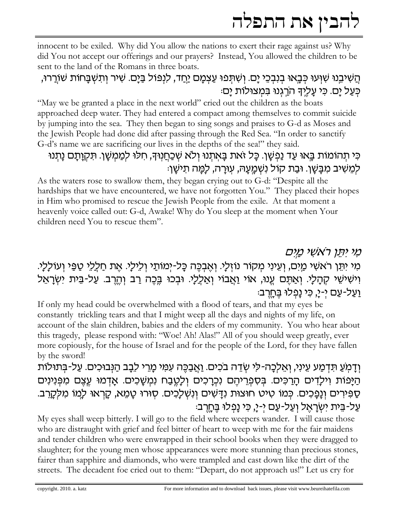innocent to be exiled. Why did You allow the nations to exert their rage against us? Why did You not accept our offerings and our prayers? Instead, You allowed the children to be sent to the land of the Romans in three boats.

## ְהֵשִׁיּבֵנוּ שָׁוְּעוּ כִּבֵאוּ בִנְבְכֵי יַם. וְשִׁתְּפוּ עַצְמַם יַּחֲד, לִנְפּוֹל בַּיַם. שִׁיר וְתִשְׁבַּחוֹת שׁוֹרֵרוּ, כִּעַל יָם. כִּי עָלֵיךְ הֹרֵגְנוּ בִּמְצוּלוֹת יָם:

"May we be granted a place in the next world" cried out the children as the boats approached deep water. They had entered a compact among themselves to commit suicide by jumping into the sea. They then began to sing songs and praises to G-d as Moses and the Jewish People had done did after passing through the Red Sea. "In order to sanctify G-d's name we are sacrificing our lives in the depths of the sea!" they said.

# כִּי תְהוֹמוֹת בֵּאוּ עַד נַפְשַׁן. כַּל זֹאת בַּאתִנוּ וְלֹא שִׁכְחֵנְוּךָ, חִלוּ לִמְמְשַׁן. תִּקְוַתַּם נַתִנוּ ַלְמֵשִׁיב מִבַּשַׁן. וּבַת קוֹל נִשְׁמַעֲהּ, עִוּרַה, לַמֵּה תִישַׁן

As the waters rose to swallow them, they began crying out to G-d: "Despite all the hardships that we have encountered, we have not forgotten You." They placed their hopes in Him who promised to rescue the Jewish People from the exile. At that moment a heavenly voice called out: G-d, Awake! Why do You sleep at the moment when Your children need You to rescue them".

## מַי יִתְּן רֹאשִׁי מֵיִם מִי יִתֵּן רֹאשִׁי מַיִם, וְעֵינִי מְקוֹר נוֹזְלָי. וְאֱבְכֶּה כָּל-יְמוֹתֵי וְלֵילַי. אֵת חַלֵלִי טַפֵּי וְעוֹלַלַי. וְישִׁישֵׁי קְהָלָי. וְאַתֶּם עֱנוּ, אוֹי וַאֲבוֹי וְאַלְלָי. וּבְכוּ בֶּכֶה רַב וְהֶרֶב. עַל-בֵּית יִשְׂרָאֵל <u>וַעֲל-עַם יִ-יַ, כִּי נַפְלוּ בֵּחַרְבּ</u>:

If only my head could be overwhelmed with a flood of tears, and that my eyes be constantly trickling tears and that I might weep all the days and nights of my life, on account of the slain children, babies and the elders of my community. You who hear about this tragedy, please respond with: "Woe! Ah! Alas!" All of you should weep greatly, ever more copiously, for the house of Israel and for the people of the Lord, for they have fallen by the sword!

## וְדָמְעַ תִּדְמַע עֵינִי, וְאֵלְכָה-לִי שָׂדֵה בֹכִים. וַאֲבַכֵּה עִמִּי מָרֵי לֵבָב הַנְּבוּכִים. עַל-בִּתוּלוֹת הַיָּפוֹת וִילָדִים הָרַכִּים. בְּסִפְרֵיהֶם נִכְרָכִים וְלָטֶבַח נִמְשָׁכִים. אָדְמוּ עֵצֶם מִפְּנִינִים סַפִּירִים וְנָפָּכִים. כְּמוֹ טִיט חוּצוּת נִדָּשִׁים וְנִשְׁלָכִים. סְוּרוּ טָמֵא, קַרְאוּ לָמוֹ מִלְקָרֵב. עַל-בֵּית יִשְׂרָאֵל וְעַל-עַם יִ-יָ, כִּי נָפְלוּ בֵּחֲרֵבּ:

My eyes shall weep bitterly. I will go to the field where weepers wander. I will cause those who are distraught with grief and feel bitter of heart to weep with me for the fair maidens and tender children who were enwrapped in their school books when they were dragged to slaughter; for the young men whose appearances were more stunning than precious stones, fairer than sapphire and diamonds, who were trampled and cast down like the dirt of the streets. The decadent foe cried out to them: "Depart, do not approach us!" Let us cry for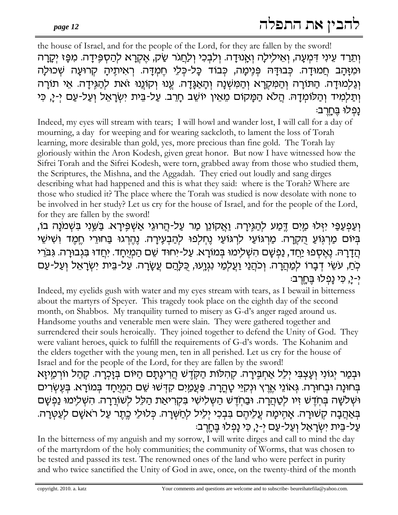the house of Israel, and for the people of the Lord, for they are fallen by the sword! וְתֵרַד עֵינִי דְּמִעַה, וְאֵילֵילַה וְאֲנוּדַה. וְלִבְכִי וְלַחֲגֹר שֵׂק, אֵקְרַא לְהַסְפֵּידַה. מִפַּז יִקַרַה וּמִזָּהָב חֲמוּדָה כְּבוּדָהּ פְּנִימָה, כְּבוֹד כָּל-כְּלֵי חֵמְדָּה רָאִיתֵיהַ קְרוּעַה שִׁכוּלַה וְגַלְמוּדָה. הַתּוֹרָה וְהַמִּקְרָא וְהַמִּשְׁנָה וְהָאַגָּדָה. עֱנוּ וְקוֹנֵנוּ זֹאת לְהַגְּידָה. אֵי תוֹרָה וְתַלְמִיד וְהַלוֹמְדָהּ. הֲלֹא הַמָּקוֹם מֵאֵין יוֹשֵׁב חָרֵב. עַל-בֵּית יִשְׂרָאֵל וְעַל-עַם יְ-יָ, כִּי נפלוּ בּחרבּ:

Indeed, my eyes will stream with tears; I will howl and wander lost, I will call for a day of mourning, a day for weeping and for wearing sackcloth, to lament the loss of Torah learning, more desirable than gold, yes, more precious than fine gold. The Torah lay gloriously within the Aron Kodesh, given great honor. But now I have witnessed how the Sifrei Torah and the Sifrei Kodesh, were torn, grabbed away from those who studied them, the Scriptures, the Mishna, and the Aggadah. They cried out loudly and sang dirges describing what had happened and this is what they said: where is the Torah? Where are those who studied it? The place where the Torah was studied is now desolate with none to be involved in her study? Let us cry for the house of Israel, and for the people of the Lord, for they are fallen by the sword!

וִעַפִעְפֵּי יִזְּלוּ מַיִּם דֵּמַע לִהַגְּיָרָה. <u>וְא</u>ַקוֹנֵן מַר עַל-הַרוּגֵי אַשִׁפֶּירָא. בַּשֵּׁנִי בִּשְׁמֹנָה בוֹ, בִּיוֹם מַרְגְוֹעַ הָקְרָה. מַרְגּוֹעַי לִרְגּוֹעַי נֵחְלְפוּ לִהַבְעֶירָה. נֵהֵרְגוּ בַּחוּרֵי חֵמֵד וְשִׁישֵׁי ְהַדָרָהּ. נֶאֶסְפוּ יַחֲד, נַפְשָׁם הִשְׁלִיְמוּ בְּמוֹרָא. עַל-יִחוּד שֵׁם הַמְיֻחָד. יִחֲדוּ בִּגְבוּרָה. גִּבֹּרֵי ְּכְֹחָ, עֹשֵׂי דְבָרוֹ לְמַהֲרָה. וְכֹהֲנַי וַעֲלְמַי נִגְוֶעוּ, כִּלְהַם עֲשָׂרָה. עַל-בֵּית יִשְׂרָאֵל וְעַל-עַם י-י, כּי נפלוּ בּחרבּ

Indeed, my eyelids gush with water and my eyes stream with tears, as I bewail in bitterness about the martyrs of Speyer. This tragedy took place on the eighth day of the second month, on Shabbos. My tranquility turned to misery as G-d's anger raged around us. Handsome youths and venerable men were slain. They were gathered together and surrendered their souls heroically. They joined together to defend the Unity of God. They were valiant heroes, quick to fulfill the requirements of G-d's words. The Kohanim and the elders together with the young men, ten in all perished. Let us cry for the house of Israel and for the people of the Lord, for they are fallen by the sword!

וּבְמַר יְגוֹנִי וְעָצְבִּי יְלֵל אַחְבִּירָה. קְהִלּוֹת הַקְדֶשׁ הֲרִיגָתָם הַיּוֹם בְּזָכְרָה. קְהַל ווֹרְמַיזָא בְּחוּנָה וּבְחוּרָה. גְּאוֹנֵי אֶרֶץ וּנְקִיֵּי טָהֲרָה. פַּעֲמַיִּם קִדְּשׁוּ שֵׁם הַמְיֻחָד בְּמוֹרָא. בְּעֶשְׂרִים וּשְׁלֹשָׁה בְּחָדֵשׁ זְיו לְטָהֲרָה. וּבַחְדֵשׁ הַשְּׁלִישִׁי בְּקְרִיאַת הַלֵּל לְשֹוֹרֵרָה. הִשְׁלִימוּ נַפְשַׁם בִּאֲהַבָה קִשׁוּרָה. אֲהִימָה עֵלִיהֵם בִּבְכִי יִלֵיל לְחַשְׁרָה. כִּלוּלֵי כֵּתֵר עַל רֹאשֶׁם לִעַטְרָה. ּעֲל-בֵּית יִשְׂרָאֵל וְעַל-עַם יִ-יָ, כִּי נָפְלוּ בֵּחֲרֵב

In the bitterness of my anguish and my sorrow, I will write dirges and call to mind the day of the martyrdom of the holy communities; the community of Worms, that was chosen to be tested and passed its test. The renowned ones of the land who were perfect in purity and who twice sanctified the Unity of God in awe, once, on the twenty-third of the month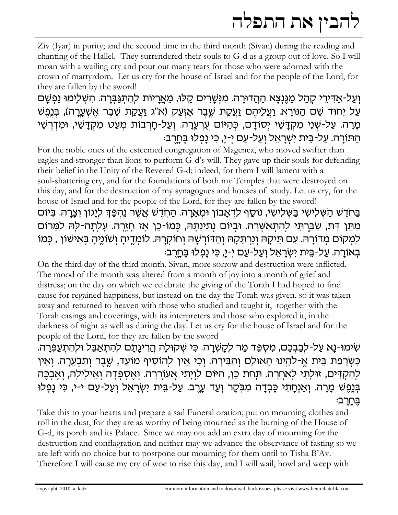Ziv (Iyar) in purity; and the second time in the third month (Sivan) during the reading and chanting of the Hallel. They surrendered their souls to G-d as a group out of love. So I will moan with a wailing cry and pour out many tears for those who were adorned with the crown of martyrdom. Let us cry for the house of Israel and for the people of the Lord, for they are fallen by the sword!

וְעַל-אַדִּירֵי קִהַל מַגֵּנִצָא הַהֲדוּרָה. מִנִּשָּׁרִים קֵלוּ, מֵאֲרָיוֹת לִהְתִגַּבְּרָה. הִשְׁלִימוּ נַפִשָּׁם עַל יְחוּד שֵׁם הַנּוֹרָא. וַעֲלֵיהֵם זַעֲקַת שֶׁבֵר אֵזְעַק (א"ג זַעֲקַת שֶׁבֵר אֵשָׁעֲרָה), בִּנְפֵשׁ מָרָה. עַל-שָׁנֵי מִקְדָּשֵׁי יִסוֹדָם, כִּהַיּוֹם עִרְעֶרָה. וְעַל-חָרְבוֹת מִעַט מִקְדָּשֵׁי, וּמִדְרְשֵׁי הַתּוֹרָה. עַל-בֵּית יִשְׁרָאֵל וְעַל-עַם יְ-יָ, כִּי נָפְלוּ בֶּחֶרֶב:

For the noble ones of the esteemed congregation of Magenca, who moved swifter than eagles and stronger than lions to perform G-d's will. They gave up their souls for defending their belief in the Unity of the Revered G-d; indeed, for them I will lament with a soul-shattering cry, and for the foundations of both my Temples that were destroyed on this day, and for the destruction of my synagogues and houses of study. Let us cry, for the house of Israel and for the people of the Lord, for they are fallen by the sword! בַּחְדֵשׁ הַשְּׁלִישִׁי בַּשְׁלִישִׁי, נוֹסַף לִדְאָבוֹן וּמְאֵרָה. הַחְדֶשׁ אֲשֶׁר נֶהְפַּךְ לְיָגוֹן וְצָרָה. בְּיוֹם מַתַּן דָּת, שִׁבַּרְתִּי לְהִתְאַשְׁרָה. וּבְיוֹם נְתִינָתָהּ, כְּמוֹ-כֵן אָז חָזֶרָה. עַלְתָה-לַהּ לַמַּרוֹם למקום מדורה. עם תֵּיקָהּ וְנַרְתֵּקָהּ וְהַדּוֹרְשָׁהּ וְחוֹקְרָהּ. לוֹמְדֵיהָ וְשֹוֹנֵיהָ בְּאִישׁוֹן , כְּמוֹ ּבְאוֹרַה. עַל-בֵּית יִשְׂרָאֵל וַעֲל-עַם י-יַ, כִּי נַפְלוּ בֵּחֲרבּ:

On the third day of the third month, Sivan, more sorrow and destruction were inflicted. The mood of the month was altered from a month of joy into a month of grief and distress; on the day on which we celebrate the giving of the Torah I had hoped to find cause for regained happiness, but instead on the day the Torah was given, so it was taken away and returned to heaven with those who studied and taught it, together with the Torah casings and coverings, with its interpreters and those who explored it, in the darkness of night as well as during the day. Let us cry for the house of Israel and for the people of the Lord, for they are fallen by the sword

שִׂימוּ-נַא עַל-לִבַּבְּכֵם, מִסְפֵּד מַר לִקַשְׁרַה. כִּי שִׁקוּלַה הַרִיגַתַם לִהְתָאֲבֵּל וּלִהְתְעַפְּרַה. כְּשְׂרֵפַת בֵּית אֵ-לֹהֵינוּ הַאוּלַם וְהַבִּירַה. וְכִי אֵין לְהוֹסִיף מוֹעֵד, שֵׁבֵר וְתַבְעֵרָה. וְאֵין לְהַקְדִּים, זוּלַתִי לְאַחֲרָה. תַּחַת כֵּן, הַיּוֹם לִוְיָתִי אֲעוֹרֲרָה. וְאֶסְפְּדָה וְאֵילִילָה, וְאֶבְכֶּה בְּנֶפֶשׁ מָרָהּ וְאַנְחָתִי כָּבְדָה מִבְּקֶר וְעַד עֶרֶבּ. עַל-בֵּית יִשְׂרָאֵל וְעַל-עַם י-י, כִּי נָפְלוּ <u>בַּחַרְב</u>

Take this to your hearts and prepare a sad Funeral oration; put on mourning clothes and roll in the dust, for they are as worthy of being mourned as the burning of the House of G-d, its porch and its Palace. Since we may not add an extra day of mourning for the destruction and conflagration and neither may we advance the observance of fasting so we are left with no choice but to postpone our mourning for them until to Tisha B'Av. Therefore I will cause my cry of woe to rise this day, and I will wail, howl and weep with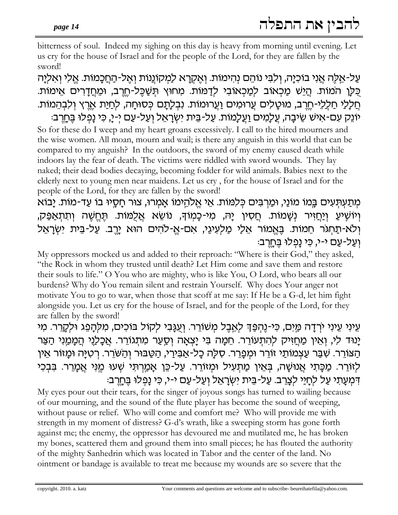bitterness of soul. Indeed my sighing on this day is heavy from morning until evening. Let us cry for the house of Israel and for the people of the Lord, for they are fallen by the sword!

על-אֵלֶה אֱנִי בוֹכְיַה, וְלִבִּי נוֹהֶם נְהִימוֹת. וְאֵקְרַא לַמְקוֹנֵנוֹת וְאֵל-הַחֲכָמוֹת. אֱלִי וְאִלְיַה כָּלַן המוֹת. <u>הַיֵּשׁ מַכְאוֹב למַכְאוֹבִי לד</u>מוֹת. מְחוּץ תִּשַּׁבֵּל-חֵרֶב, וּמֶחַדָרִים אֵימוֹת. ְחַלָלַי חַלְלֵי-חֶרֶב, מוּטָלִים עֲרוּמִים וַעֲרוּמוֹת. נִבְלָתָם כְּסוּחָה, לְחַיַת אֱרֶץ וְלִבְהֵמוֹת.

יוֹנֵק עִם-אִישׁ שֵׂיבָה, עֲלָמִים וַעֲלָמוֹת. עַל-בֵּית יִשְׂרָאֵל וְעַל-עַם יְ-יָ, כִּי נָפְלוּ בֶּחֶרֶב: So for these do I weep and my heart groans excessively. I call to the hired mourners and the wise women. All moan, mourn and wail; is there any anguish in this world that can be compared to my anguish? In the outdoors, the sword of my enemy caused death while indoors lay the fear of death. The victims were riddled with sword wounds. They lay naked; their dead bodies decaying, becoming fodder for wild animals. Babies next to the elderly next to young men near maidens. Let us cry, for the house of Israel and for the people of the Lord, for they are fallen by the sword!

מִתַּעְתִּעִים בֵּמוֹ מוֹנַי, וּמַרְבִּים כִּלְמוֹת. אֵי אֱלֹהֱימוֹ אָמְרוּ, צוּר חָסֶיוּ בוֹ עַד-מוֹת. יַבוֹא וְיוֹשְיעַ וְיַחֲזִיר נְשָׁמוֹת. חֲסִין יָהּ, מִי-כָּמְוֹךָ, נוֹשֵׂא אֲלֻמּוֹת. תֵּחֵשָׁה וִתְתַאַפֵּק, וְלֹא-תַחְגֹּר חֵמוֹת. בֶּאֱמוֹר אֵלַי מַלְעִינֵי, אִם-אֱ-לֹהִים הוּא יָרֱב. עַל-בֵּית יִשְׂרָאֵל וַעֲל-עַם י-י, כֵּי נַפְלוּ <u>בֶּחְ</u>רְב:

My oppressors mocked us and added to their reproach: "Where is their God," they asked, "the Rock in whom they trusted until death? Let Him come and save them and restore their souls to life." O You who are mighty, who is like You, O Lord, who bears all our burdens? Why do You remain silent and restrain Yourself. Why does Your anger not motivate You to go to war, when those that scoff at me say: If He be a G-d, let him fight alongside you. Let us cry for the house of Israel, and for the people of the Lord, for they are fallen by the sword!

עֵינִי עֵינִי יִרְדָה מַיִם, כִּי-נֵהְפֵּךְ לָאֱבֵל מִשׁוֹרֵר. וְעֲנָבִי לִקוֹל בּוֹכִים, מִלְהָפֵג וּלִקָרֵר. מִי יַנוּד לִי, וְאֵין מַחֲזִיק לְהִתְעוֹרֵר. חֵמָה בִּי יָצְאָה וְסֵעַר מִתְגוֹרֵר. אֲכָלַנֵי הַמָּמַנִי הַצַּר הַצּוֹרֵר. שָׁבַּר עַצְמוֹתֵי זוֹרֵר וּמִפְרֵר. סָלַה כַל-אֲבִירֵי, הַטֲבּוּר וְהַשֹּׁרֵר. רְטְיַּה וּמַזוֹר אֵין לְזוֹרֵר. מַכָּתִי אֲנוּשָׁה, בְּאֵין מַתְעִיל וּמְזוֹרֵר. עַל-כֵּן אָמַרְתִּי שְׁעוּ מֶנִּי אֲמָרֵר. בִּבְכִי דְּמְעֲתֵי עָל לְחֵיֵי לָצֶרֶב. עֲל-בֵּית יְשָׂרָאֶל וְעָל-עַם י-י, כִּי נַפְלוּ בֵּחֵרְבּ:

My eyes pour out their tears, for the singer of joyous songs has turned to wailing because of our mourning, and the sound of the flute player has become the sound of weeping, without pause or relief. Who will come and comfort me? Who will provide me with strength in my moment of distress? G-d's wrath, like a sweeping storm has gone forth against me; the enemy, the oppressor has devoured me and mutilated me, he has broken my bones, scattered them and ground them into small pieces; he has flouted the authority of the mighty Sanhedrin which was located in Tabor and the center of the land. No ointment or bandage is available to treat me because my wounds are so severe that the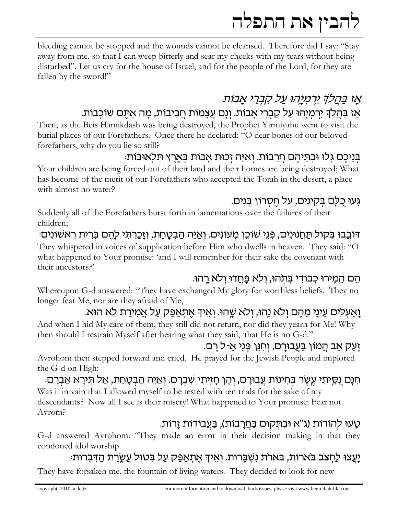bleeding cannot be stopped and the wounds cannot be cleansed. Therefore did I say: "Stay away from me, so that I can weep bitterly and sear my cheeks with my tears without being disturbed". Let us cry for the house of Israel, and for the people of the Lord, for they are fallen by the sword!"

# אַז בַּחֲלֹדְ יִרְמְיָהוּ עַל קִבְרֵי אֲבוֹת

## אָז בַּהַלֹךְ יִרְמְיָהוּ עַל קִבְרֵי אָבוֹת. וְנָם עֵצָמוֹת חַבִיבוֹת, מָה אַתֵּם שׁוֹכְבוֹת.

Then, as the Beis Hamikdash was being destroyed, the Prophet Yirmiyahu went to visit the burial places of our Forefathers. Once there he declared: "O dear bones of our beloved forefathers, why do you lie so still?

#### בְּנֵיכֶם גַּלוּ וּבַתֵּיהֶם חֲרֶבוֹת. וְאַיֶּה זְכוּת אֲבוֹת בְּאֵרֶץ תַּלְאוּבוֹת:

Your children are being forced out of their land and their homes are being destroyed; What has become of the merit of our Forefathers who accepted the Torah in the desert, a place with almost no water?

## גַּעוּ כִלַּם בִּקִינִים, עַל חֵסְרוֹן בַּנִים.

Suddenly all of the Forefathers burst forth in lamentations over the failures of their children;

## דּוֹבֲבוּ בְּקוֹל תַּחֲנוּנִים, פְּנֵי שׁוֹכֵן מְעוֹנִים. וְאַיֵּה הַבְטָחַת, וְזָכַרְתִּי לָהֶם בְּרִית רִאשׁוֹנִים:

They whispered in voices of supplication before Him who dwells in heaven. They said: "O what happened to Your promise: 'and I will remember for their sake the covenant with their ancestors?'

### הֵם הַמֵירוּ כִבוֹדִי בִּתְהוּ, וְלֹא פַּחֲדוּ וְלֹא רַהוּ.

Whereupon G-d answered: "They have exchanged My glory for worthless beliefs. They no longer fear Me, nor are they afraid of Me,

#### ַוַאַעְלִים עֵינַי מֶהֶם וְלֹא נֵהוּ, וְלֹא שֵׁהוּ. וְאֵיךְ אֵתְאַפֵּק עַל אֲמִירַת לֹא הוּא.

And when I hid My care of them, they still did not return, nor did they yearn for Me! Why then should I restrain Myself after hearing what they said, 'that He is no G-d."

### ַזַעֲק אַב הַמוֹן בַּעֲבוּרַם, וְחִנֵּן פְּנֵי אֵ-ל רַם.

Avrohom then stepped forward and cried. He prayed for the Jewish People and implored the G-d on High:

ּחִנָּם נִסֵיתִי עֵשֵׂר בִּחִינוֹת עַבוּרָם, וְהֵן חָזִיתִי שִׁבְרָם. וְאַיֵּה הַבְטָחַת, אַל תִּירָא אַבְרָם: Was it in vain that I allowed myself to be tested with ten trials for the sake of my descendants? Now all I see is their misery! What happened to Your promise: Fear not Avrom?

#### טעו להורות (ג"א ובתקום בחרבות), בעבודות זרות.

G-d answered Avrohom: "They made an error in their decision making in that they condoned idol worship.

### יַעֲצוּ לַחְצֹב בֹּארוֹת, בֹּארֹת נִשְׁבָּרוֹת. וְאֵיךְ אֵתְאַפֵּק עַל בְּטוּל עֵשֶׂרֵת הַדְּבְרוֹת:

They have forsaken me, the fountain of living waters. They decided to look for new